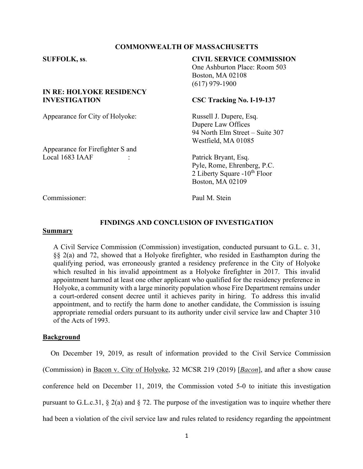## **COMMONWEALTH OF MASSACHUSETTS**

# **IN RE: HOLYOKE RESIDENCY INVESTIGATION CSC Tracking No. I-19-137**

Appearance for City of Holyoke: Russell J. Dupere, Esq.

## Appearance for Firefighter S and Local 1683 IAAF : Patrick Bryant, Esq.

# **SUFFOLK, ss**. **CIVIL SERVICE COMMISSION**

One Ashburton Place: Room 503 Boston, MA 02108 (617) 979-1900

Dupere Law Offices 94 North Elm Street – Suite 307 Westfield, MA 01085

Pyle, Rome, Ehrenberg, P.C. 2 Liberty Square  $-10^{th}$  Floor Boston, MA 02109

Commissioner: Paul M. Stein

## **FINDINGS AND CONCLUSION OF INVESTIGATION**

#### **Summary**

A Civil Service Commission (Commission) investigation, conducted pursuant to G.L. c. 31, §§ 2(a) and 72, showed that a Holyoke firefighter, who resided in Easthampton during the qualifying period, was erroneously granted a residency preference in the City of Holyoke which resulted in his invalid appointment as a Holyoke firefighter in 2017. This invalid appointment harmed at least one other applicant who qualified for the residency preference in Holyoke, a community with a large minority population whose Fire Department remains under a court-ordered consent decree until it achieves parity in hiring. To address this invalid appointment, and to rectify the harm done to another candidate, the Commission is issuing appropriate remedial orders pursuant to its authority under civil service law and Chapter 310 of the Acts of 1993.

### **Background**

On December 19, 2019, as result of information provided to the Civil Service Commission (Commission) in Bacon v. City of Holyoke, 32 MCSR 219 (2019) [*Bacon*], and after a show cause conference held on December 11, 2019, the Commission voted 5-0 to initiate this investigation pursuant to G.L.c.31, § 2(a) and § 72. The purpose of the investigation was to inquire whether there had been a violation of the civil service law and rules related to residency regarding the appointment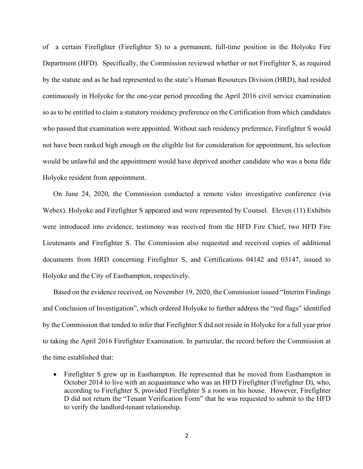of a certain Firefighter (Firefighter S) to a permanent, full-time position in the Holyoke Fire Department (HFD). Specifically, the Commission reviewed whether or not Firefighter S, as required by the statute and as he had represented to the state's Human Resources Division (HRD), had resided continuously in Holyoke for the one-year period preceding the April 2016 civil service examination so as to be entitled to claim a statutory residency preference on the Certification from which candidates who passed that examination were appointed. Without such residency preference, Firefighter S would not have been ranked high enough on the eligible list for consideration for appointment, his selection would be unlawful and the appointment would have deprived another candidate who was a bona fide Holyoke resident from appointment.

On June 24, 2020, the Commission conducted a remote video investigative conference (via Webex). Holyoke and Firefighter S appeared and were represented by Counsel. Eleven (11) Exhibits were introduced into evidence, testimony was received from the HFD Fire Chief, two HFD Fire Lieutenants and Firefighter S. The Commission also requested and received copies of additional documents from HRD concerning Firefighter S, and Certifications 04142 and 03147, issued to Holyoke and the City of Easthampton, respectively.

Based on the evidence received, on November 19, 2020, the Commission issued "Interim Findings and Conclusion of Investigation", which ordered Holyoke to further address the "red flags" identified by the Commission that tended to infer that Firefighter S did not reside in Holyoke for a full year prior to taking the April 2016 Firefighter Examination. In particular, the record before the Commission at the time established that:

• Firefighter S grew up in Easthampton. He represented that he moved from Easthampton in October 2014 to live with an acquaintance who was an HFD Firefighter (Firefighter D), who, according to Firefighter S, provided Firefighter S a room in his house. However, Firefighter D did not return the "Tenant Verification Form" that he was requested to submit to the HFD to verify the landlord-tenant relationship.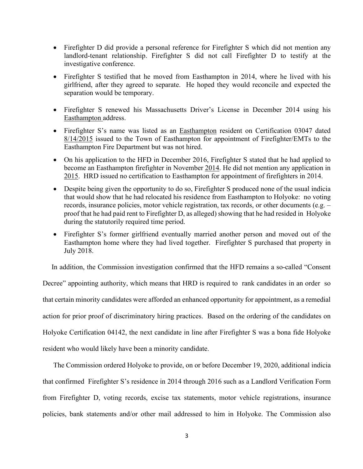- Firefighter D did provide a personal reference for Firefighter S which did not mention any landlord-tenant relationship. Firefighter S did not call Firefighter D to testify at the investigative conference.
- Firefighter S testified that he moved from Easthampton in 2014, where he lived with his girlfriend, after they agreed to separate. He hoped they would reconcile and expected the separation would be temporary.
- Firefighter S renewed his Massachusetts Driver's License in December 2014 using his Easthampton address.
- Firefighter S's name was listed as an Easthampton resident on Certification 03047 dated 8/14/2015 issued to the Town of Easthampton for appointment of Firefighter/EMTs to the Easthampton Fire Department but was not hired.
- On his application to the HFD in December 2016, Firefighter S stated that he had applied to become an Easthampton firefighter in November 2014. He did not mention any application in 2015. HRD issued no certification to Easthampton for appointment of firefighters in 2014.
- Despite being given the opportunity to do so, Firefighter S produced none of the usual indicia that would show that he had relocated his residence from Easthampton to Holyoke: no voting records, insurance policies, motor vehicle registration, tax records, or other documents (e.g. – proof that he had paid rent to Firefighter D, as alleged) showing that he had resided in Holyoke during the statutorily required time period.
- Firefighter S's former girlfriend eventually married another person and moved out of the Easthampton home where they had lived together. Firefighter S purchased that property in July 2018.

In addition, the Commission investigation confirmed that the HFD remains a so-called "Consent

Decree" appointing authority, which means that HRD is required to rank candidates in an order so that certain minority candidates were afforded an enhanced opportunity for appointment, as a remedial action for prior proof of discriminatory hiring practices. Based on the ordering of the candidates on Holyoke Certification 04142, the next candidate in line after Firefighter S was a bona fide Holyoke resident who would likely have been a minority candidate.

The Commission ordered Holyoke to provide, on or before December 19, 2020, additional indicia that confirmed Firefighter S's residence in 2014 through 2016 such as a Landlord Verification Form from Firefighter D, voting records, excise tax statements, motor vehicle registrations, insurance policies, bank statements and/or other mail addressed to him in Holyoke. The Commission also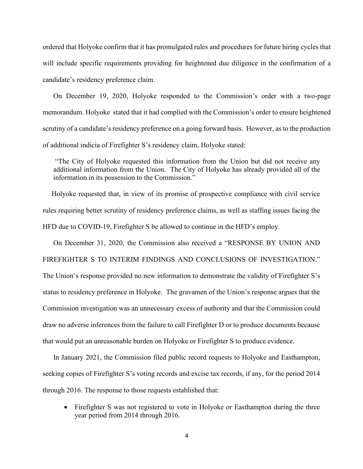ordered that Holyoke confirm that it has promulgated rules and procedures for future hiring cycles that will include specific requirements providing for heightened due diligence in the confirmation of a candidate's residency preference claim.

On December 19, 2020, Holyoke responded to the Commission's order with a two-page memorandum. Holyoke stated that it had complied with the Commission's order to ensure heightened scrutiny of a candidate's residency preference on a going forward basis. However, as to the production of additional indicia of Firefighter S's residency claim, Holyoke stated:

"The City of Holyoke requested this information from the Union but did not receive any additional information from the Union. The City of Holyoke has already provided all of the information in its possession to the Commission."

 Holyoke requested that, in view of its promise of prospective compliance with civil service rules requiring better scrutiny of residency preference claims, as well as staffing issues facing the HFD due to COVID-19, Firefighter S be allowed to continue in the HFD's employ.

On December 31, 2020, the Commission also received a "RESPONSE BY UNION AND FIREFIGHTER S TO INTERIM FINDINGS AND CONCLUSIONS OF INVESTIGATION." The Union's response provided no new information to demonstrate the validity of Firefighter S's status to residency preference in Holyoke. The gravamen of the Union's response argues that the Commission investigation was an unnecessary excess of authority and that the Commission could draw no adverse inferences from the failure to call Firefighter D or to produce documents because that would put an unreasonable burden on Holyoke or Firefighter S to produce evidence.

In January 2021, the Commission filed public record requests to Holyoke and Easthampton, seeking copies of Firefighter S's voting records and excise tax records, if any, for the period 2014 through 2016. The response to those requests established that:

• Firefighter S was not registered to vote in Holyoke or Easthampton during the three year period from 2014 through 2016.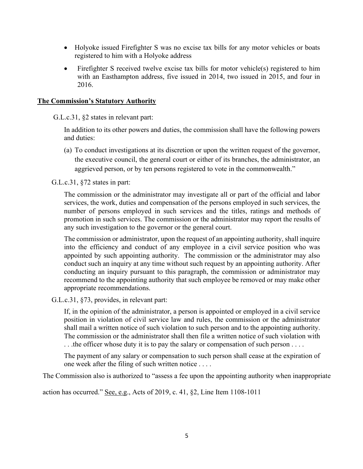- Holyoke issued Firefighter S was no excise tax bills for any motor vehicles or boats registered to him with a Holyoke address
- Firefighter S received twelve excise tax bills for motor vehicle(s) registered to him with an Easthampton address, five issued in 2014, two issued in 2015, and four in 2016.

## **The Commission's Statutory Authority**

G.L.c.31, §2 states in relevant part:

In addition to its other powers and duties, the commission shall have the following powers and duties:

(a) To conduct investigations at its discretion or upon the written request of the governor, the executive council, the general court or either of its branches, the administrator, an aggrieved person, or by ten persons registered to vote in the commonwealth."

G.L.c.31, §72 states in part:

The commission or the administrator may investigate all or part of the official and labor services, the work, duties and compensation of the persons employed in such services, the number of persons employed in such services and the titles, ratings and methods of promotion in such services. The commission or the administrator may report the results of any such investigation to the governor or the general court.

The commission or administrator, upon the request of an appointing authority, shall inquire into the efficiency and conduct of any employee in a civil service position who was appointed by such appointing authority. The commission or the administrator may also conduct such an inquiry at any time without such request by an appointing authority. After conducting an inquiry pursuant to this paragraph, the commission or administrator may recommend to the appointing authority that such employee be removed or may make other appropriate recommendations.

G.L.c.31, §73, provides, in relevant part:

If, in the opinion of the administrator, a person is appointed or employed in a civil service position in violation of civil service law and rules, the commission or the administrator shall mail a written notice of such violation to such person and to the appointing authority. The commission or the administrator shall then file a written notice of such violation with . . .the officer whose duty it is to pay the salary or compensation of such person . . . .

The payment of any salary or compensation to such person shall cease at the expiration of one week after the filing of such written notice . . . .

The Commission also is authorized to "assess a fee upon the appointing authority when inappropriate

action has occurred." See, e.g., Acts of 2019, c. 41, §2, Line Item 1108-1011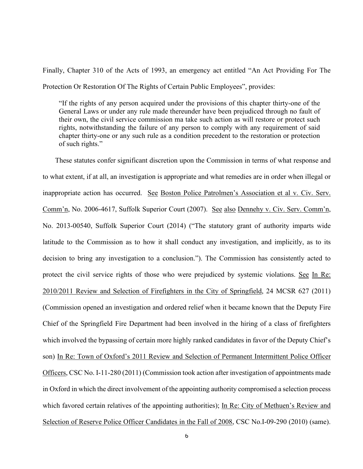Finally, Chapter 310 of the Acts of 1993, an emergency act entitled "An Act Providing For The Protection Or Restoration Of The Rights of Certain Public Employees", provides:

"If the rights of any person acquired under the provisions of this chapter thirty-one of the General Laws or under any rule made thereunder have been prejudiced through no fault of their own, the civil service commission ma take such action as will restore or protect such rights, notwithstanding the failure of any person to comply with any requirement of said chapter thirty-one or any such rule as a condition precedent to the restoration or protection of such rights."

 These statutes confer significant discretion upon the Commission in terms of what response and to what extent, if at all, an investigation is appropriate and what remedies are in order when illegal or inappropriate action has occurred. See Boston Police Patrolmen's Association et al v. Civ. Serv. Comm'n, No. 2006-4617, Suffolk Superior Court (2007). See also Dennehy v. Civ. Serv. Comm'n, No. 2013-00540, Suffolk Superior Court (2014) ("The statutory grant of authority imparts wide latitude to the Commission as to how it shall conduct any investigation, and implicitly, as to its decision to bring any investigation to a conclusion."). The Commission has consistently acted to protect the civil service rights of those who were prejudiced by systemic violations. See In Re: 2010/2011 Review and Selection of Firefighters in the City of Springfield, 24 MCSR 627 (2011) (Commission opened an investigation and ordered relief when it became known that the Deputy Fire Chief of the Springfield Fire Department had been involved in the hiring of a class of firefighters which involved the bypassing of certain more highly ranked candidates in favor of the Deputy Chief's son) In Re: Town of Oxford's 2011 Review and Selection of Permanent Intermittent Police Officer Officers, CSC No. I-11-280 (2011) (Commission took action after investigation of appointments made in Oxford in which the direct involvement of the appointing authority compromised a selection process which favored certain relatives of the appointing authorities); In Re: City of Methuen's Review and Selection of Reserve Police Officer Candidates in the Fall of 2008, CSC No.I-09-290 (2010) (same).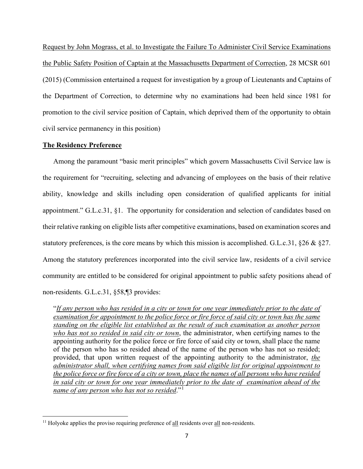Request by John Mograss, et al. to Investigate the Failure To Administer Civil Service Examinations the Public Safety Position of Captain at the Massachusetts Department of Correction, 28 MCSR 601 (2015) (Commission entertained a request for investigation by a group of Lieutenants and Captains of the Department of Correction, to determine why no examinations had been held since 1981 for promotion to the civil service position of Captain, which deprived them of the opportunity to obtain civil service permanency in this position)

## **The Residency Preference**

Among the paramount "basic merit principles" which govern Massachusetts Civil Service law is the requirement for "recruiting, selecting and advancing of employees on the basis of their relative ability, knowledge and skills including open consideration of qualified applicants for initial appointment." G.L.c.31, §1. The opportunity for consideration and selection of candidates based on their relative ranking on eligible lists after competitive examinations, based on examination scores and statutory preferences, is the core means by which this mission is accomplished. G.L.c.31, §26 & §27. Among the statutory preferences incorporated into the civil service law, residents of a civil service community are entitled to be considered for original appointment to public safety positions ahead of non-residents. G.L.c.31, §58,¶3 provides:

"*If any person who has resided in a city or town for one year immediately prior to the date of examination for appointment to the police force or fire force of said city or town has the same standing on the eligible list established as the result of such examination as another person who has not so resided in said city or town*, the administrator, when certifying names to the appointing authority for the police force or fire force of said city or town, shall place the name of the person who has so resided ahead of the name of the person who has not so resided; provided, that upon written request of the appointing authority to the administrator, *the administrator shall, when certifying names from said eligible list for original appointment to the police force or fire force of a city or town, place the names of all persons who have resided in said city or town for one year immediately prior to the date of examination ahead of the name of any person who has not so resided*."[1](#page-6-0)

<span id="page-6-0"></span> $11$  Holyoke applies the proviso requiring preference of  $\underline{\text{all}}$  residents over  $\underline{\text{all}}$  non-residents.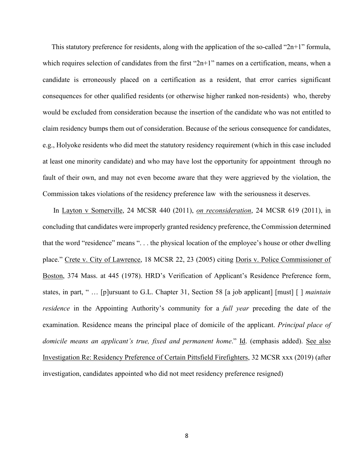This statutory preference for residents, along with the application of the so-called "2n+1" formula, which requires selection of candidates from the first " $2n+1$ " names on a certification, means, when a candidate is erroneously placed on a certification as a resident, that error carries significant consequences for other qualified residents (or otherwise higher ranked non-residents) who, thereby would be excluded from consideration because the insertion of the candidate who was not entitled to claim residency bumps them out of consideration. Because of the serious consequence for candidates, e.g., Holyoke residents who did meet the statutory residency requirement (which in this case included at least one minority candidate) and who may have lost the opportunity for appointment through no fault of their own, and may not even become aware that they were aggrieved by the violation, the Commission takes violations of the residency preference law with the seriousness it deserves.

In Layton v Somerville, 24 MCSR 440 (2011), *on reconsideration*, 24 MCSR 619 (2011), in concluding that candidates were improperly granted residency preference, the Commission determined that the word "residence" means ". . . the physical location of the employee's house or other dwelling place." Crete v. City of Lawrence, 18 MCSR 22, 23 (2005) citing Doris v. Police Commissioner of Boston, 374 Mass. at 445 (1978). HRD's Verification of Applicant's Residence Preference form, states, in part, " … [p]ursuant to G.L. Chapter 31, Section 58 [a job applicant] [must] [ ] *maintain residence* in the Appointing Authority's community for a *full year* preceding the date of the examination. Residence means the principal place of domicile of the applicant. *Principal place of*  domicile means an applicant's true, fixed and permanent home." Id. (emphasis added). See also Investigation Re: Residency Preference of Certain Pittsfield Firefighters, 32 MCSR xxx (2019) (after investigation, candidates appointed who did not meet residency preference resigned)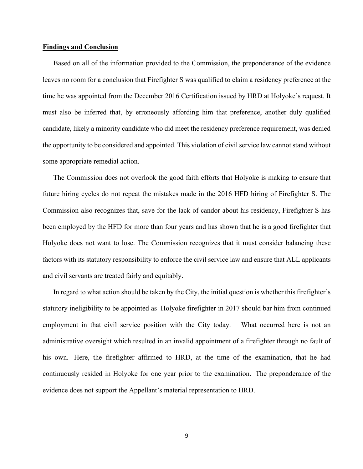#### **Findings and Conclusion**

Based on all of the information provided to the Commission, the preponderance of the evidence leaves no room for a conclusion that Firefighter S was qualified to claim a residency preference at the time he was appointed from the December 2016 Certification issued by HRD at Holyoke's request. It must also be inferred that, by erroneously affording him that preference, another duly qualified candidate, likely a minority candidate who did meet the residency preference requirement, was denied the opportunity to be considered and appointed. This violation of civil service law cannot stand without some appropriate remedial action.

The Commission does not overlook the good faith efforts that Holyoke is making to ensure that future hiring cycles do not repeat the mistakes made in the 2016 HFD hiring of Firefighter S. The Commission also recognizes that, save for the lack of candor about his residency, Firefighter S has been employed by the HFD for more than four years and has shown that he is a good firefighter that Holyoke does not want to lose. The Commission recognizes that it must consider balancing these factors with its statutory responsibility to enforce the civil service law and ensure that ALL applicants and civil servants are treated fairly and equitably.

In regard to what action should be taken by the City, the initial question is whether this firefighter's statutory ineligibility to be appointed as Holyoke firefighter in 2017 should bar him from continued employment in that civil service position with the City today. What occurred here is not an administrative oversight which resulted in an invalid appointment of a firefighter through no fault of his own. Here, the firefighter affirmed to HRD, at the time of the examination, that he had continuously resided in Holyoke for one year prior to the examination. The preponderance of the evidence does not support the Appellant's material representation to HRD.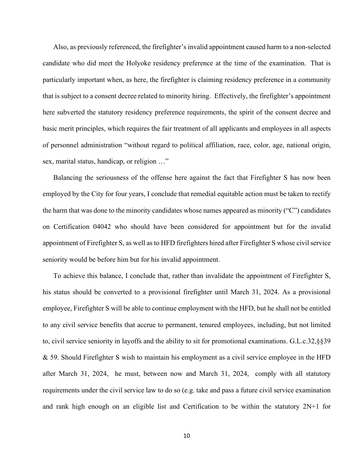Also, as previously referenced, the firefighter's invalid appointment caused harm to a non-selected candidate who did meet the Holyoke residency preference at the time of the examination. That is particularly important when, as here, the firefighter is claiming residency preference in a community that is subject to a consent decree related to minority hiring. Effectively, the firefighter's appointment here subverted the statutory residency preference requirements, the spirit of the consent decree and basic merit principles, which requires the fair treatment of all applicants and employees in all aspects of personnel administration "without regard to political affiliation, race, color, age, national origin, sex, marital status, handicap, or religion …"

Balancing the seriousness of the offense here against the fact that Firefighter S has now been employed by the City for four years, I conclude that remedial equitable action must be taken to rectify the harm that was done to the minority candidates whose names appeared as minority ("C") candidates on Certification 04042 who should have been considered for appointment but for the invalid appointment of Firefighter S, as well as to HFD firefighters hired after Firefighter S whose civil service seniority would be before him but for his invalid appointment.

To achieve this balance, I conclude that, rather than invalidate the appointment of Firefighter S, his status should be converted to a provisional firefighter until March 31, 2024. As a provisional employee, Firefighter S will be able to continue employment with the HFD, but he shall not be entitled to any civil service benefits that accrue to permanent, tenured employees, including, but not limited to, civil service seniority in layoffs and the ability to sit for promotional examinations. G.L.c.32,§§39 & 59. Should Firefighter S wish to maintain his employment as a civil service employee in the HFD after March 31, 2024, he must, between now and March 31, 2024, comply with all statutory requirements under the civil service law to do so (e.g. take and pass a future civil service examination and rank high enough on an eligible list and Certification to be within the statutory 2N+1 for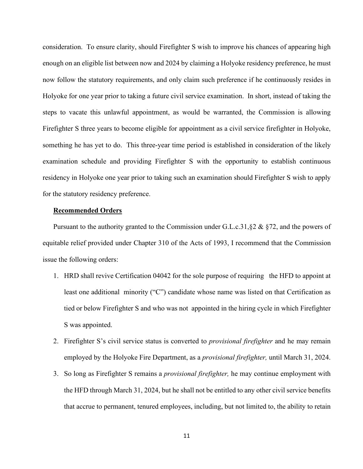consideration. To ensure clarity, should Firefighter S wish to improve his chances of appearing high enough on an eligible list between now and 2024 by claiming a Holyoke residency preference, he must now follow the statutory requirements, and only claim such preference if he continuously resides in Holyoke for one year prior to taking a future civil service examination. In short, instead of taking the steps to vacate this unlawful appointment, as would be warranted, the Commission is allowing Firefighter S three years to become eligible for appointment as a civil service firefighter in Holyoke, something he has yet to do. This three-year time period is established in consideration of the likely examination schedule and providing Firefighter S with the opportunity to establish continuous residency in Holyoke one year prior to taking such an examination should Firefighter S wish to apply for the statutory residency preference.

## **Recommended Orders**

Pursuant to the authority granted to the Commission under G.L.c.31,§2 & §72, and the powers of equitable relief provided under Chapter 310 of the Acts of 1993, I recommend that the Commission issue the following orders:

- 1. HRD shall revive Certification 04042 for the sole purpose of requiring the HFD to appoint at least one additional minority ("C") candidate whose name was listed on that Certification as tied or below Firefighter S and who was not appointed in the hiring cycle in which Firefighter S was appointed.
- 2. Firefighter S's civil service status is converted to *provisional firefighter* and he may remain employed by the Holyoke Fire Department, as a *provisional firefighter,* until March 31, 2024.
- 3. So long as Firefighter S remains a *provisional firefighter,* he may continue employment with the HFD through March 31, 2024, but he shall not be entitled to any other civil service benefits that accrue to permanent, tenured employees, including, but not limited to, the ability to retain